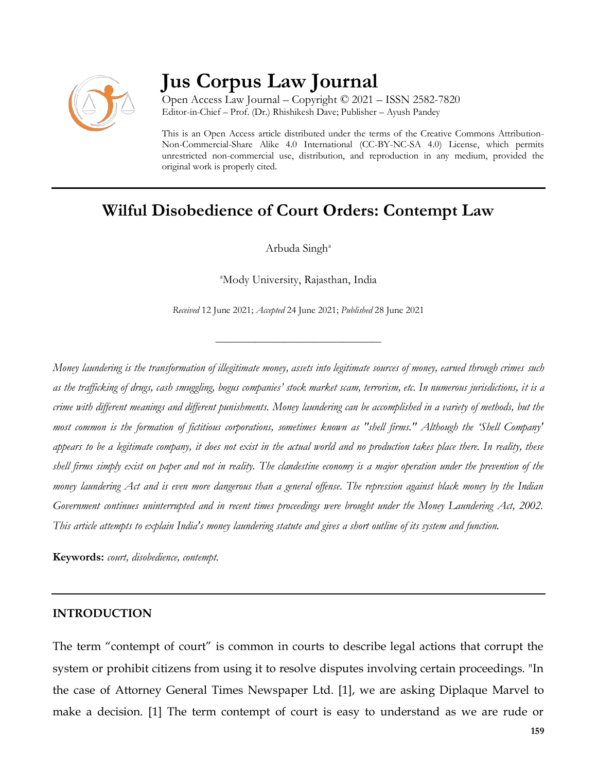

# **Jus Corpus Law Journal**

Open Access Law Journal – Copyright © 2021 – ISSN 2582-7820 Editor-in-Chief – Prof. (Dr.) Rhishikesh Dave; Publisher – Ayush Pandey

This is an Open Access article distributed under the terms of the Creative Commons Attribution-Non-Commercial-Share Alike 4.0 International (CC-BY-NC-SA 4.0) License, which permits unrestricted non-commercial use, distribution, and reproduction in any medium, provided the original work is properly cited.

## **Wilful Disobedience of Court Orders: Contempt Law**

Arbuda Singh<sup>a</sup>

<sup>a</sup>Mody University, Rajasthan, India

*Received* 12 June 2021; *Accepted* 24 June 2021; *Published* 28 June 2021

\_\_\_\_\_\_\_\_\_\_\_\_\_\_\_\_\_\_\_\_\_\_\_\_\_\_\_\_\_\_\_\_\_\_

*Money laundering is the transformation of illegitimate money, assets into legitimate sources of money, earned through crimes such as the trafficking of drugs, cash smuggling, bogus companies' stock market scam, terrorism, etc. In numerous jurisdictions, it is a crime with different meanings and different punishments. Money laundering can be accomplished in a variety of methods, but the most common is the formation of fictitious corporations, sometimes known as "shell firms." Although the 'Shell Company' appears to be a legitimate company, it does not exist in the actual world and no production takes place there. In reality, these shell firms simply exist on paper and not in reality. The clandestine economy is a major operation under the prevention of the money laundering Act and is even more dangerous than a general offense. The repression against black money by the Indian Government continues uninterrupted and in recent times proceedings were brought under the Money Laundering Act, 2002. This article attempts to explain India's money laundering statute and gives a short outline of its system and function.*

**Keywords:** *court, disobedience, contempt.*

#### **INTRODUCTION**

The term "contempt of court" is common in courts to describe legal actions that corrupt the system or prohibit citizens from using it to resolve disputes involving certain proceedings. "In the case of Attorney General Times Newspaper Ltd. [1], we are asking Diplaque Marvel to make a decision. [1] The term contempt of court is easy to understand as we are rude or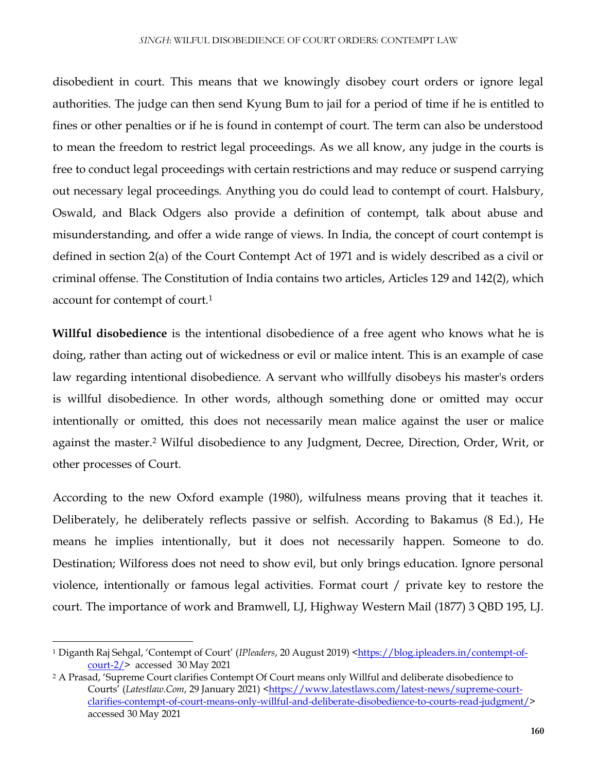disobedient in court. This means that we knowingly disobey court orders or ignore legal authorities. The judge can then send Kyung Bum to jail for a period of time if he is entitled to fines or other penalties or if he is found in contempt of court. The term can also be understood to mean the freedom to restrict legal proceedings. As we all know, any judge in the courts is free to conduct legal proceedings with certain restrictions and may reduce or suspend carrying out necessary legal proceedings. Anything you do could lead to contempt of court. Halsbury, Oswald, and Black Odgers also provide a definition of contempt, talk about abuse and misunderstanding, and offer a wide range of views. In India, the concept of court contempt is defined in section 2(a) of the Court Contempt Act of 1971 and is widely described as a civil or criminal offense. The Constitution of India contains two articles, Articles 129 and 142(2), which account for contempt of court.<sup>1</sup>

**Willful disobedience** is the intentional disobedience of a free agent who knows what he is doing, rather than acting out of wickedness or evil or malice intent. This is an example of case law regarding intentional disobedience. A servant who willfully disobeys his master's orders is willful disobedience. In other words, although something done or omitted may occur intentionally or omitted, this does not necessarily mean malice against the user or malice against the master.<sup>2</sup> Wilful disobedience to any Judgment, Decree, Direction, Order, Writ, or other processes of Court.

According to the new Oxford example (1980), wilfulness means proving that it teaches it. Deliberately, he deliberately reflects passive or selfish. According to Bakamus (8 Ed.), He means he implies intentionally, but it does not necessarily happen. Someone to do. Destination; Wilforess does not need to show evil, but only brings education. Ignore personal violence, intentionally or famous legal activities. Format court / private key to restore the court. The importance of work and Bramwell, LJ, Highway Western Mail (1877) 3 QBD 195, LJ.

 $\overline{a}$ 

<sup>1</sup> Diganth Raj Sehgal, 'Contempt of Court' (*IPleaders*, 20 August 2019) [<https://blog.ipleaders.in/contempt-of](https://blog.ipleaders.in/contempt-of-court-2/)[court-2/>](https://blog.ipleaders.in/contempt-of-court-2/) accessed 30 May 2021

<sup>2</sup> A Prasad, 'Supreme Court clarifies Contempt Of Court means only Willful and deliberate disobedience to Courts<sup>'</sup> (Latestlaw.Com, 29 January 2021) [<https://www.latestlaws.com/latest-news/supreme-court](https://www.latestlaws.com/latest-news/supreme-court-clarifies-contempt-of-court-means-only-willful-and-deliberate-disobedience-to-courts-read-judgment/)[clarifies-contempt-of-court-means-only-willful-and-deliberate-disobedience-to-courts-read-judgment/>](https://www.latestlaws.com/latest-news/supreme-court-clarifies-contempt-of-court-means-only-willful-and-deliberate-disobedience-to-courts-read-judgment/) accessed 30 May 2021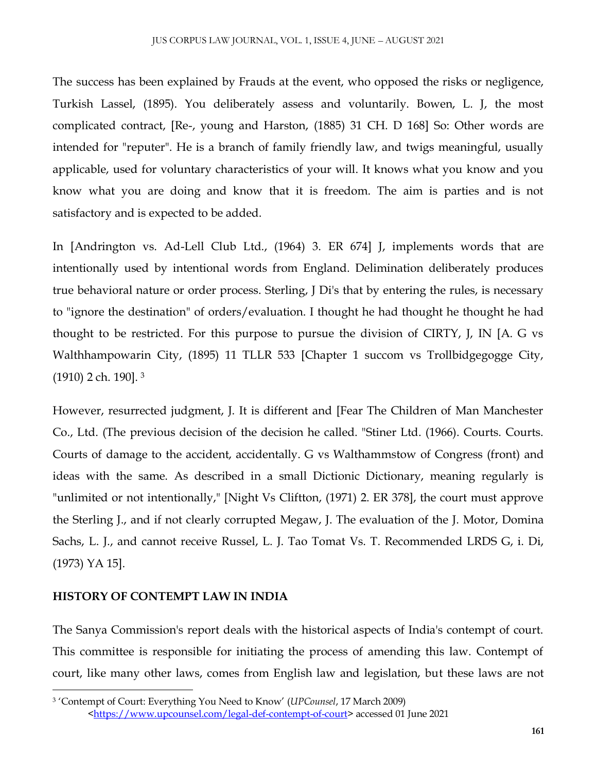The success has been explained by Frauds at the event, who opposed the risks or negligence, Turkish Lassel, (1895). You deliberately assess and voluntarily. Bowen, L. J, the most complicated contract, [Re-, young and Harston, (1885) 31 CH. D 168] So: Other words are intended for "reputer". He is a branch of family friendly law, and twigs meaningful, usually applicable, used for voluntary characteristics of your will. It knows what you know and you know what you are doing and know that it is freedom. The aim is parties and is not satisfactory and is expected to be added.

In [Andrington vs. Ad-Lell Club Ltd., (1964) 3. ER 674] J, implements words that are intentionally used by intentional words from England. Delimination deliberately produces true behavioral nature or order process. Sterling, J Di's that by entering the rules, is necessary to "ignore the destination" of orders/evaluation. I thought he had thought he thought he had thought to be restricted. For this purpose to pursue the division of CIRTY, J, IN [A. G vs Walthhampowarin City, (1895) 11 TLLR 533 [Chapter 1 succom vs Trollbidgegogge City, (1910) 2 ch. 190]. <sup>3</sup>

However, resurrected judgment, J. It is different and [Fear The Children of Man Manchester Co., Ltd. (The previous decision of the decision he called. "Stiner Ltd. (1966). Courts. Courts. Courts of damage to the accident, accidentally. G vs Walthammstow of Congress (front) and ideas with the same. As described in a small Dictionic Dictionary, meaning regularly is "unlimited or not intentionally," [Night Vs Cliftton, (1971) 2. ER 378], the court must approve the Sterling J., and if not clearly corrupted Megaw, J. The evaluation of the J. Motor, Domina Sachs, L. J., and cannot receive Russel, L. J. Tao Tomat Vs. T. Recommended LRDS G, i. Di, (1973) YA 15].

### **HISTORY OF CONTEMPT LAW IN INDIA**

 $\overline{\phantom{a}}$ 

The Sanya Commission's report deals with the historical aspects of India's contempt of court. This committee is responsible for initiating the process of amending this law. Contempt of court, like many other laws, comes from English law and legislation, but these laws are not

<sup>3</sup> 'Contempt of Court: Everything You Need to Know' (*UPCounsel*, 17 March 2009) [<https://www.upcounsel.com/legal-def-contempt-of-court>](https://www.upcounsel.com/legal-def-contempt-of-court) accessed 01 June 2021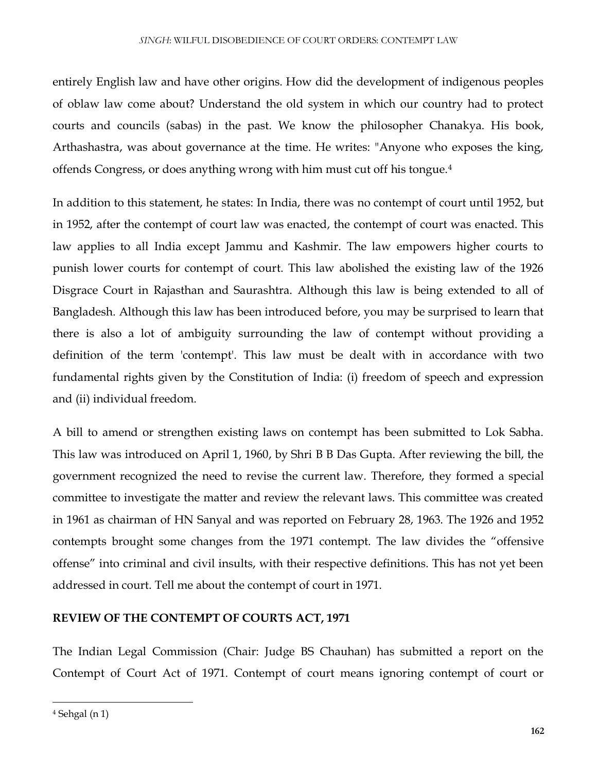entirely English law and have other origins. How did the development of indigenous peoples of oblaw law come about? Understand the old system in which our country had to protect courts and councils (sabas) in the past. We know the philosopher Chanakya. His book, Arthashastra, was about governance at the time. He writes: "Anyone who exposes the king, offends Congress, or does anything wrong with him must cut off his tongue.<sup>4</sup>

In addition to this statement, he states: In India, there was no contempt of court until 1952, but in 1952, after the contempt of court law was enacted, the contempt of court was enacted. This law applies to all India except Jammu and Kashmir. The law empowers higher courts to punish lower courts for contempt of court. This law abolished the existing law of the 1926 Disgrace Court in Rajasthan and Saurashtra. Although this law is being extended to all of Bangladesh. Although this law has been introduced before, you may be surprised to learn that there is also a lot of ambiguity surrounding the law of contempt without providing a definition of the term 'contempt'. This law must be dealt with in accordance with two fundamental rights given by the Constitution of India: (i) freedom of speech and expression and (ii) individual freedom.

A bill to amend or strengthen existing laws on contempt has been submitted to Lok Sabha. This law was introduced on April 1, 1960, by Shri B B Das Gupta. After reviewing the bill, the government recognized the need to revise the current law. Therefore, they formed a special committee to investigate the matter and review the relevant laws. This committee was created in 1961 as chairman of HN Sanyal and was reported on February 28, 1963. The 1926 and 1952 contempts brought some changes from the 1971 contempt. The law divides the "offensive offense" into criminal and civil insults, with their respective definitions. This has not yet been addressed in court. Tell me about the contempt of court in 1971.

#### **REVIEW OF THE CONTEMPT OF COURTS ACT, 1971**

The Indian Legal Commission (Chair: Judge BS Chauhan) has submitted a report on the Contempt of Court Act of 1971. Contempt of court means ignoring contempt of court or

<sup>4</sup> Sehgal (n 1)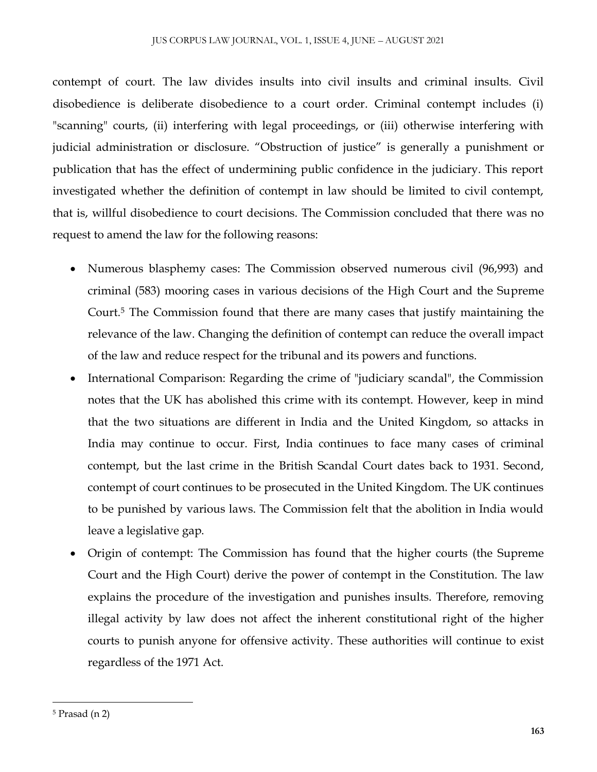contempt of court. The law divides insults into civil insults and criminal insults. Civil disobedience is deliberate disobedience to a court order. Criminal contempt includes (i) "scanning" courts, (ii) interfering with legal proceedings, or (iii) otherwise interfering with judicial administration or disclosure. "Obstruction of justice" is generally a punishment or publication that has the effect of undermining public confidence in the judiciary. This report investigated whether the definition of contempt in law should be limited to civil contempt, that is, willful disobedience to court decisions. The Commission concluded that there was no request to amend the law for the following reasons:

- Numerous blasphemy cases: The Commission observed numerous civil (96,993) and criminal (583) mooring cases in various decisions of the High Court and the Supreme Court.<sup>5</sup> The Commission found that there are many cases that justify maintaining the relevance of the law. Changing the definition of contempt can reduce the overall impact of the law and reduce respect for the tribunal and its powers and functions.
- International Comparison: Regarding the crime of "judiciary scandal", the Commission notes that the UK has abolished this crime with its contempt. However, keep in mind that the two situations are different in India and the United Kingdom, so attacks in India may continue to occur. First, India continues to face many cases of criminal contempt, but the last crime in the British Scandal Court dates back to 1931. Second, contempt of court continues to be prosecuted in the United Kingdom. The UK continues to be punished by various laws. The Commission felt that the abolition in India would leave a legislative gap.
- Origin of contempt: The Commission has found that the higher courts (the Supreme Court and the High Court) derive the power of contempt in the Constitution. The law explains the procedure of the investigation and punishes insults. Therefore, removing illegal activity by law does not affect the inherent constitutional right of the higher courts to punish anyone for offensive activity. These authorities will continue to exist regardless of the 1971 Act.

<sup>5</sup> Prasad (n 2)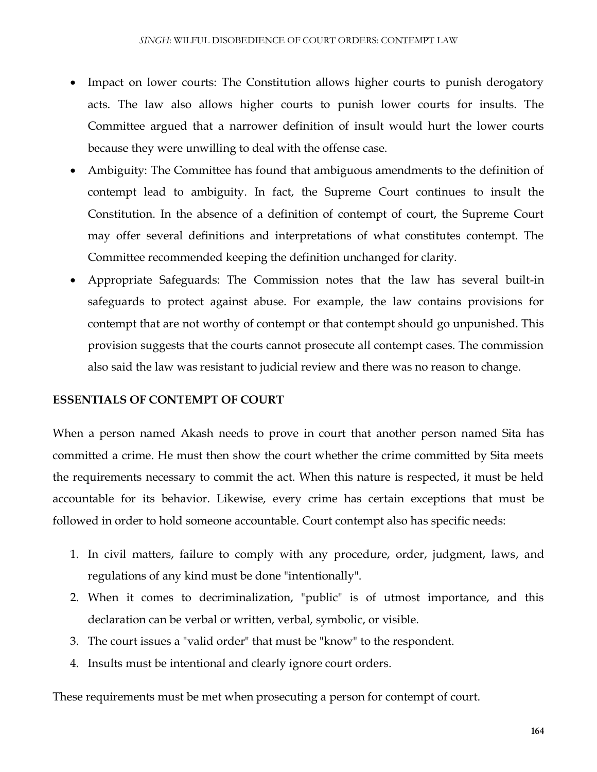- Impact on lower courts: The Constitution allows higher courts to punish derogatory acts. The law also allows higher courts to punish lower courts for insults. The Committee argued that a narrower definition of insult would hurt the lower courts because they were unwilling to deal with the offense case.
- Ambiguity: The Committee has found that ambiguous amendments to the definition of contempt lead to ambiguity. In fact, the Supreme Court continues to insult the Constitution. In the absence of a definition of contempt of court, the Supreme Court may offer several definitions and interpretations of what constitutes contempt. The Committee recommended keeping the definition unchanged for clarity.
- Appropriate Safeguards: The Commission notes that the law has several built-in safeguards to protect against abuse. For example, the law contains provisions for contempt that are not worthy of contempt or that contempt should go unpunished. This provision suggests that the courts cannot prosecute all contempt cases. The commission also said the law was resistant to judicial review and there was no reason to change.

#### **ESSENTIALS OF CONTEMPT OF COURT**

When a person named Akash needs to prove in court that another person named Sita has committed a crime. He must then show the court whether the crime committed by Sita meets the requirements necessary to commit the act. When this nature is respected, it must be held accountable for its behavior. Likewise, every crime has certain exceptions that must be followed in order to hold someone accountable. Court contempt also has specific needs:

- 1. In civil matters, failure to comply with any procedure, order, judgment, laws, and regulations of any kind must be done "intentionally".
- 2. When it comes to decriminalization, "public" is of utmost importance, and this declaration can be verbal or written, verbal, symbolic, or visible.
- 3. The court issues a "valid order" that must be "know" to the respondent.
- 4. Insults must be intentional and clearly ignore court orders.

These requirements must be met when prosecuting a person for contempt of court.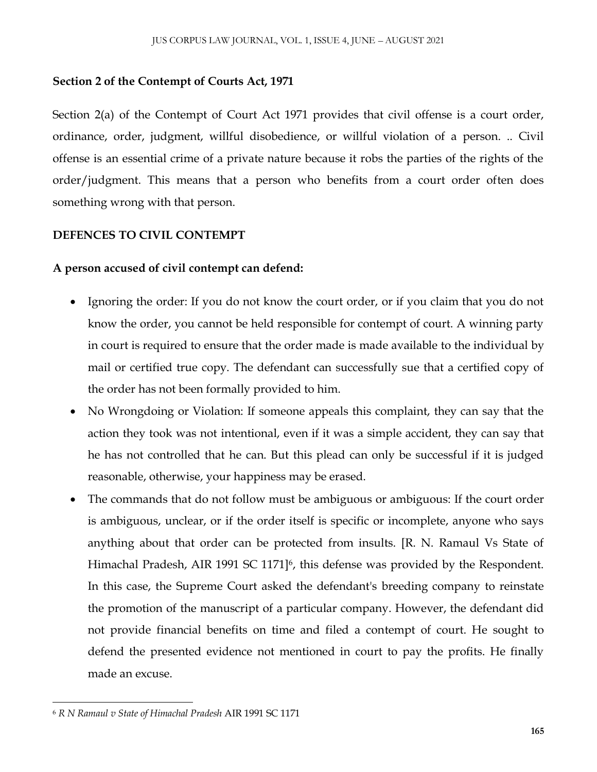#### **Section 2 of the Contempt of Courts Act, 1971**

Section 2(a) of the Contempt of Court Act 1971 provides that civil offense is a court order, ordinance, order, judgment, willful disobedience, or willful violation of a person. .. Civil offense is an essential crime of a private nature because it robs the parties of the rights of the order/judgment. This means that a person who benefits from a court order often does something wrong with that person.

#### **DEFENCES TO CIVIL CONTEMPT**

#### **A person accused of civil contempt can defend:**

- Ignoring the order: If you do not know the court order, or if you claim that you do not know the order, you cannot be held responsible for contempt of court. A winning party in court is required to ensure that the order made is made available to the individual by mail or certified true copy. The defendant can successfully sue that a certified copy of the order has not been formally provided to him.
- No Wrongdoing or Violation: If someone appeals this complaint, they can say that the action they took was not intentional, even if it was a simple accident, they can say that he has not controlled that he can. But this plead can only be successful if it is judged reasonable, otherwise, your happiness may be erased.
- The commands that do not follow must be ambiguous or ambiguous: If the court order is ambiguous, unclear, or if the order itself is specific or incomplete, anyone who says anything about that order can be protected from insults. [R. N. Ramaul Vs State of Himachal Pradesh, AIR 1991 SC 1171]<sup>6</sup>, this defense was provided by the Respondent. In this case, the Supreme Court asked the defendant's breeding company to reinstate the promotion of the manuscript of a particular company. However, the defendant did not provide financial benefits on time and filed a contempt of court. He sought to defend the presented evidence not mentioned in court to pay the profits. He finally made an excuse.

 $\overline{\phantom{a}}$ <sup>6</sup> *R N Ramaul v State of Himachal Pradesh* AIR 1991 SC 1171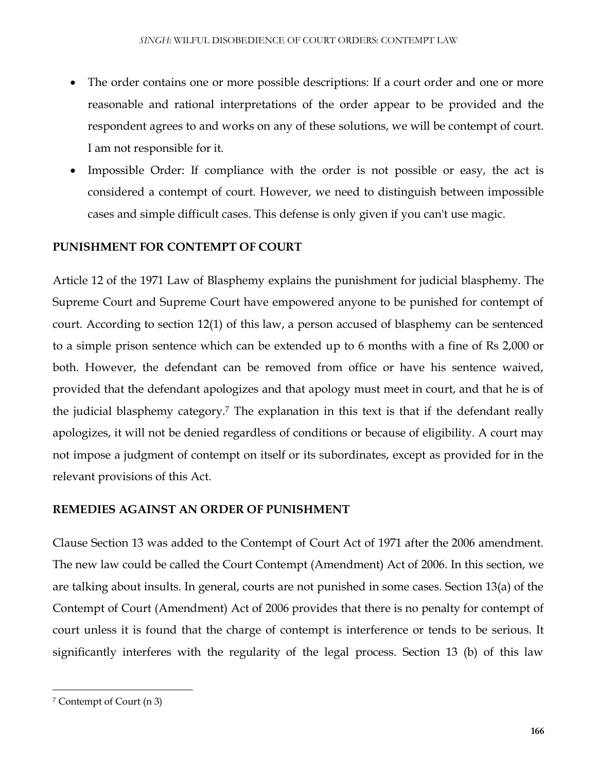- The order contains one or more possible descriptions: If a court order and one or more reasonable and rational interpretations of the order appear to be provided and the respondent agrees to and works on any of these solutions, we will be contempt of court. I am not responsible for it.
- Impossible Order: If compliance with the order is not possible or easy, the act is considered a contempt of court. However, we need to distinguish between impossible cases and simple difficult cases. This defense is only given if you can't use magic.

#### **PUNISHMENT FOR CONTEMPT OF COURT**

Article 12 of the 1971 Law of Blasphemy explains the punishment for judicial blasphemy. The Supreme Court and Supreme Court have empowered anyone to be punished for contempt of court. According to section 12(1) of this law, a person accused of blasphemy can be sentenced to a simple prison sentence which can be extended up to 6 months with a fine of Rs 2,000 or both. However, the defendant can be removed from office or have his sentence waived, provided that the defendant apologizes and that apology must meet in court, and that he is of the judicial blasphemy category.<sup>7</sup> The explanation in this text is that if the defendant really apologizes, it will not be denied regardless of conditions or because of eligibility. A court may not impose a judgment of contempt on itself or its subordinates, except as provided for in the relevant provisions of this Act.

#### **REMEDIES AGAINST AN ORDER OF PUNISHMENT**

Clause Section 13 was added to the Contempt of Court Act of 1971 after the 2006 amendment. The new law could be called the Court Contempt (Amendment) Act of 2006. In this section, we are talking about insults. In general, courts are not punished in some cases. Section 13(a) of the Contempt of Court (Amendment) Act of 2006 provides that there is no penalty for contempt of court unless it is found that the charge of contempt is interference or tends to be serious. It significantly interferes with the regularity of the legal process. Section 13 (b) of this law

<sup>7</sup> Contempt of Court (n 3)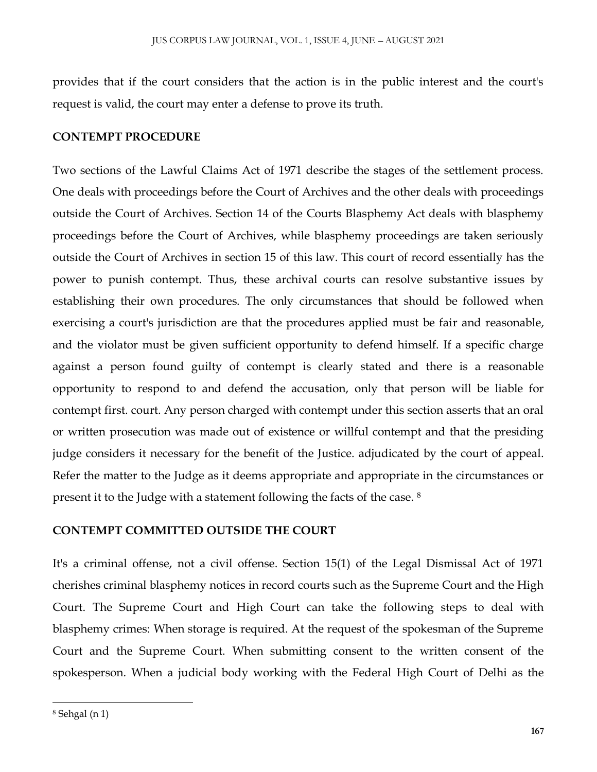provides that if the court considers that the action is in the public interest and the court's request is valid, the court may enter a defense to prove its truth.

#### **CONTEMPT PROCEDURE**

Two sections of the Lawful Claims Act of 1971 describe the stages of the settlement process. One deals with proceedings before the Court of Archives and the other deals with proceedings outside the Court of Archives. Section 14 of the Courts Blasphemy Act deals with blasphemy proceedings before the Court of Archives, while blasphemy proceedings are taken seriously outside the Court of Archives in section 15 of this law. This court of record essentially has the power to punish contempt. Thus, these archival courts can resolve substantive issues by establishing their own procedures. The only circumstances that should be followed when exercising a court's jurisdiction are that the procedures applied must be fair and reasonable, and the violator must be given sufficient opportunity to defend himself. If a specific charge against a person found guilty of contempt is clearly stated and there is a reasonable opportunity to respond to and defend the accusation, only that person will be liable for contempt first. court. Any person charged with contempt under this section asserts that an oral or written prosecution was made out of existence or willful contempt and that the presiding judge considers it necessary for the benefit of the Justice. adjudicated by the court of appeal. Refer the matter to the Judge as it deems appropriate and appropriate in the circumstances or present it to the Judge with a statement following the facts of the case. <sup>8</sup>

#### **CONTEMPT COMMITTED OUTSIDE THE COURT**

It's a criminal offense, not a civil offense. Section 15(1) of the Legal Dismissal Act of 1971 cherishes criminal blasphemy notices in record courts such as the Supreme Court and the High Court. The Supreme Court and High Court can take the following steps to deal with blasphemy crimes: When storage is required. At the request of the spokesman of the Supreme Court and the Supreme Court. When submitting consent to the written consent of the spokesperson. When a judicial body working with the Federal High Court of Delhi as the

<sup>8</sup> Sehgal (n 1)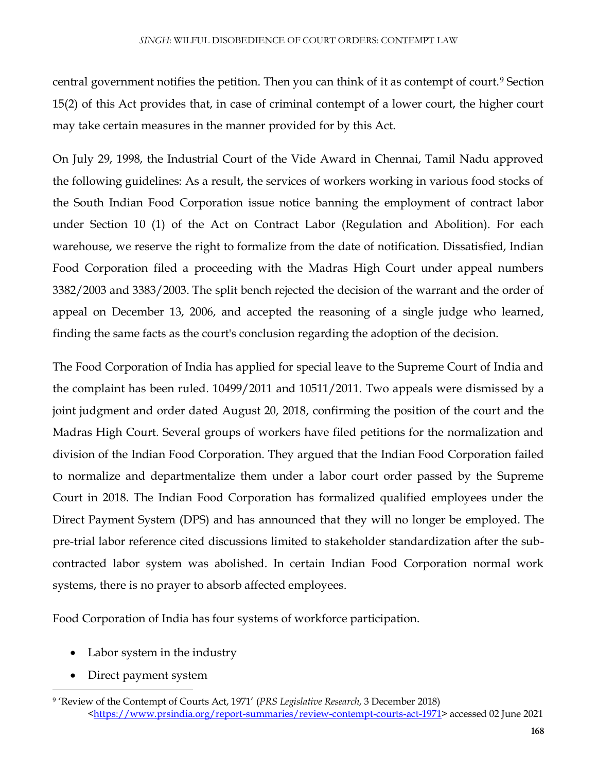central government notifies the petition. Then you can think of it as contempt of court.<sup>9</sup> Section 15(2) of this Act provides that, in case of criminal contempt of a lower court, the higher court may take certain measures in the manner provided for by this Act.

On July 29, 1998, the Industrial Court of the Vide Award in Chennai, Tamil Nadu approved the following guidelines: As a result, the services of workers working in various food stocks of the South Indian Food Corporation issue notice banning the employment of contract labor under Section 10 (1) of the Act on Contract Labor (Regulation and Abolition). For each warehouse, we reserve the right to formalize from the date of notification. Dissatisfied, Indian Food Corporation filed a proceeding with the Madras High Court under appeal numbers 3382/2003 and 3383/2003. The split bench rejected the decision of the warrant and the order of appeal on December 13, 2006, and accepted the reasoning of a single judge who learned, finding the same facts as the court's conclusion regarding the adoption of the decision.

The Food Corporation of India has applied for special leave to the Supreme Court of India and the complaint has been ruled. 10499/2011 and 10511/2011. Two appeals were dismissed by a joint judgment and order dated August 20, 2018, confirming the position of the court and the Madras High Court. Several groups of workers have filed petitions for the normalization and division of the Indian Food Corporation. They argued that the Indian Food Corporation failed to normalize and departmentalize them under a labor court order passed by the Supreme Court in 2018. The Indian Food Corporation has formalized qualified employees under the Direct Payment System (DPS) and has announced that they will no longer be employed. The pre-trial labor reference cited discussions limited to stakeholder standardization after the subcontracted labor system was abolished. In certain Indian Food Corporation normal work systems, there is no prayer to absorb affected employees.

Food Corporation of India has four systems of workforce participation.

- Labor system in the industry
- Direct payment system

 $\overline{\phantom{a}}$ <sup>9</sup> 'Review of the Contempt of Courts Act, 1971' (*PRS Legislative Research*, 3 December 2018) [<https://www.prsindia.org/report-summaries/review-contempt-courts-act-1971>](https://www.prsindia.org/report-summaries/review-contempt-courts-act-1971) accessed 02 June 2021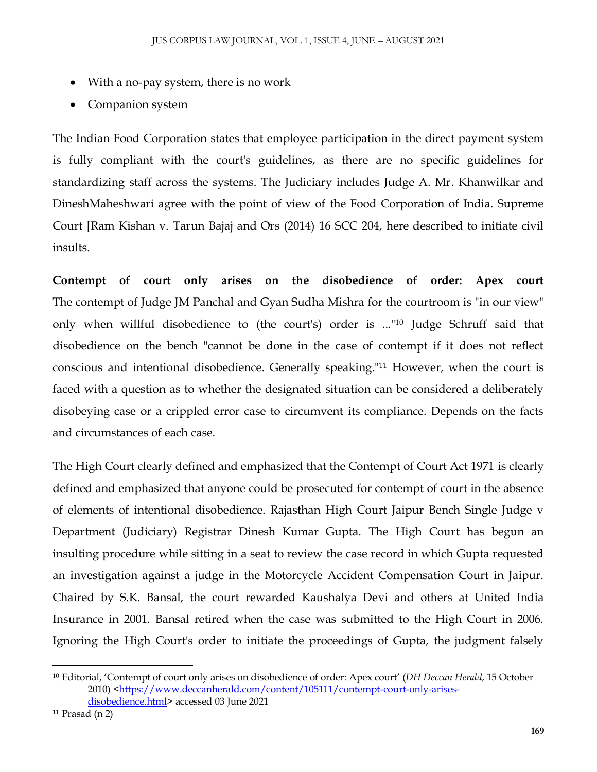- With a no-pay system, there is no work
- Companion system

The Indian Food Corporation states that employee participation in the direct payment system is fully compliant with the court's guidelines, as there are no specific guidelines for standardizing staff across the systems. The Judiciary includes Judge A. Mr. Khanwilkar and DineshMaheshwari agree with the point of view of the Food Corporation of India. Supreme Court [Ram Kishan v. Tarun Bajaj and Ors (2014) 16 SCC 204, here described to initiate civil insults.

**Contempt of court only arises on the disobedience of order: Apex court** The contempt of Judge JM Panchal and Gyan Sudha Mishra for the courtroom is "in our view" only when willful disobedience to (the court's) order is ..."<sup>10</sup> Judge Schruff said that disobedience on the bench "cannot be done in the case of contempt if it does not reflect conscious and intentional disobedience. Generally speaking."<sup>11</sup> However, when the court is faced with a question as to whether the designated situation can be considered a deliberately disobeying case or a crippled error case to circumvent its compliance. Depends on the facts and circumstances of each case.

The High Court clearly defined and emphasized that the Contempt of Court Act 1971 is clearly defined and emphasized that anyone could be prosecuted for contempt of court in the absence of elements of intentional disobedience. Rajasthan High Court Jaipur Bench Single Judge v Department (Judiciary) Registrar Dinesh Kumar Gupta. The High Court has begun an insulting procedure while sitting in a seat to review the case record in which Gupta requested an investigation against a judge in the Motorcycle Accident Compensation Court in Jaipur. Chaired by S.K. Bansal, the court rewarded Kaushalya Devi and others at United India Insurance in 2001. Bansal retired when the case was submitted to the High Court in 2006. Ignoring the High Court's order to initiate the proceedings of Gupta, the judgment falsely

<sup>10</sup> Editorial, 'Contempt of court only arises on disobedience of order: Apex court' (*DH Deccan Herald*, 15 October 2010) [<https://www.deccanherald.com/content/105111/contempt-court-only-arises](https://www.deccanherald.com/content/105111/contempt-court-only-arises-disobedience.html)[disobedience.html>](https://www.deccanherald.com/content/105111/contempt-court-only-arises-disobedience.html) accessed 03 June 2021

<sup>11</sup> Prasad (n 2)